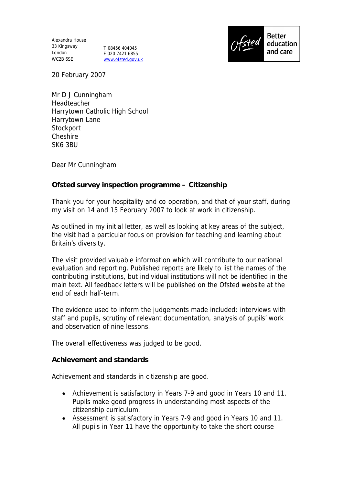Alexandra House 33 Kingsway London WC2B 6SE

T 08456 404045 F 020 7421 6855 www.ofsted.gov.uk



20 February 2007

Mr D J Cunningham Headteacher Harrytown Catholic High School Harrytown Lane **Stockport Cheshire** SK6 3BU

Dear Mr Cunningham

**Ofsted survey inspection programme – Citizenship** 

Thank you for your hospitality and co-operation, and that of your staff, during my visit on 14 and 15 February 2007 to look at work in citizenship.

As outlined in my initial letter, as well as looking at key areas of the subject, the visit had a particular focus on provision for teaching and learning about Britain's diversity.

The visit provided valuable information which will contribute to our national evaluation and reporting. Published reports are likely to list the names of the contributing institutions, but individual institutions will not be identified in the main text. All feedback letters will be published on the Ofsted website at the end of each half-term.

The evidence used to inform the judgements made included: interviews with staff and pupils, scrutiny of relevant documentation, analysis of pupils' work and observation of nine lessons.

The overall effectiveness was judged to be good.

**Achievement and standards** 

Achievement and standards in citizenship are good.

- Achievement is satisfactory in Years 7-9 and good in Years 10 and 11. Pupils make good progress in understanding most aspects of the citizenship curriculum.
- Assessment is satisfactory in Years 7-9 and good in Years 10 and 11. All pupils in Year 11 have the opportunity to take the short course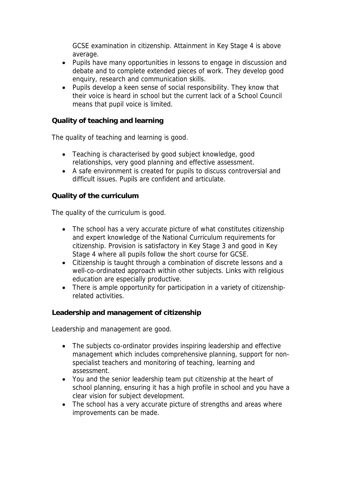GCSE examination in citizenship. Attainment in Key Stage 4 is above average.

- Pupils have many opportunities in lessons to engage in discussion and debate and to complete extended pieces of work. They develop good enquiry, research and communication skills.
- Pupils develop a keen sense of social responsibility. They know that their voice is heard in school but the current lack of a School Council means that pupil voice is limited.

**Quality of teaching and learning** 

The quality of teaching and learning is good.

- Teaching is characterised by good subject knowledge, good relationships, very good planning and effective assessment.
- A safe environment is created for pupils to discuss controversial and difficult issues. Pupils are confident and articulate.

## **Quality of the curriculum**

The quality of the curriculum is good.

- The school has a very accurate picture of what constitutes citizenship and expert knowledge of the National Curriculum requirements for citizenship. Provision is satisfactory in Key Stage 3 and good in Key Stage 4 where all pupils follow the short course for GCSE.
- Citizenship is taught through a combination of discrete lessons and a well-co-ordinated approach within other subjects. Links with religious education are especially productive.
- There is ample opportunity for participation in a variety of citizenshiprelated activities.

**Leadership and management of citizenship**

Leadership and management are good.

- The subjects co-ordinator provides inspiring leadership and effective management which includes comprehensive planning, support for nonspecialist teachers and monitoring of teaching, learning and assessment.
- You and the senior leadership team put citizenship at the heart of school planning, ensuring it has a high profile in school and you have a clear vision for subject development.
- The school has a very accurate picture of strengths and areas where improvements can be made.